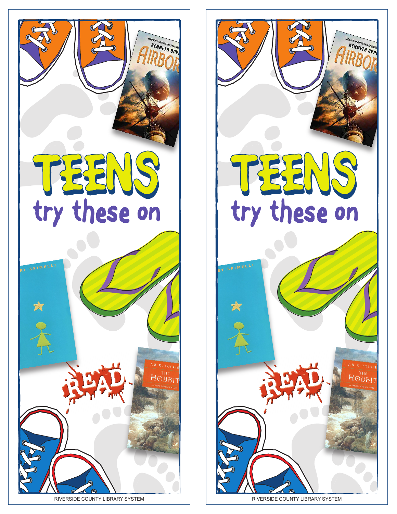